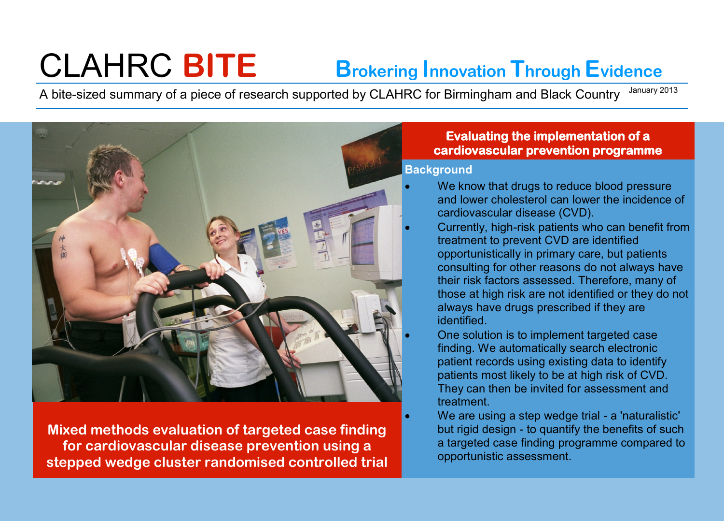# CLAHRC **BITE Brokering Innovation Through Evidence**

A bite-sized summary of a piece of research supported by CLAHRC for Birmingham and Black Country January 2013



**Mixed methods evaluation of targeted case finding for cardiovascular disease prevention using a stepped wedge cluster randomised controlled trial** 

## **Evaluating the implementation of a cardiovascular prevention programme**

#### **Background**

- We know that drugs to reduce blood pressure and lower cholesterol can lower the incidence of cardiovascular disease (CVD).
- Currently, high-risk patients who can benefit from treatment to prevent CVD are identified opportunistically in primary care, but patients consulting for other reasons do not always have their risk factors assessed. Therefore, many of those at high risk are not identified or they do not always have drugs prescribed if they are identified.
	- One solution is to implement targeted case finding. We automatically search electronic patient records using existing data to identify patients most likely to be at high risk of CVD. They can then be invited for assessment and treatment.
	- We are using a step wedge trial a 'naturalistic' but rigid design - to quantify the benefits of such a targeted case finding programme compared to opportunistic assessment.